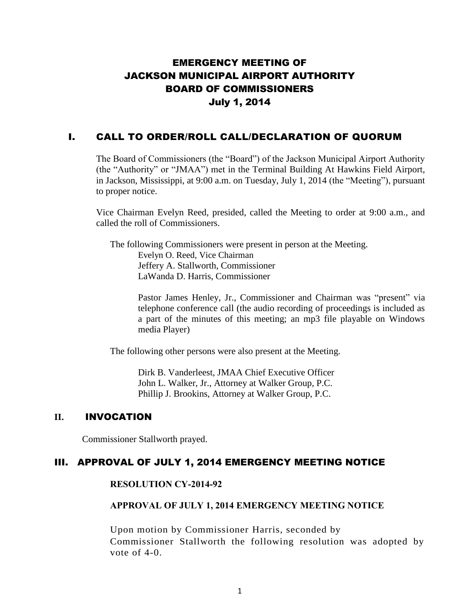# EMERGENCY MEETING OF JACKSON MUNICIPAL AIRPORT AUTHORITY BOARD OF COMMISSIONERS July 1, 2014

## I. CALL TO ORDER/ROLL CALL/DECLARATION OF QUORUM

The Board of Commissioners (the "Board") of the Jackson Municipal Airport Authority (the "Authority" or "JMAA") met in the Terminal Building At Hawkins Field Airport, in Jackson, Mississippi, at 9:00 a.m. on Tuesday, July 1, 2014 (the "Meeting"), pursuant to proper notice.

Vice Chairman Evelyn Reed, presided, called the Meeting to order at 9:00 a.m., and called the roll of Commissioners.

The following Commissioners were present in person at the Meeting. Evelyn O. Reed, Vice Chairman Jeffery A. Stallworth, Commissioner LaWanda D. Harris, Commissioner

> Pastor James Henley, Jr., Commissioner and Chairman was "present" via telephone conference call (the audio recording of proceedings is included as a part of the minutes of this meeting; an mp3 file playable on Windows media Player)

The following other persons were also present at the Meeting.

Dirk B. Vanderleest, JMAA Chief Executive Officer John L. Walker, Jr., Attorney at Walker Group, P.C. Phillip J. Brookins, Attorney at Walker Group, P.C.

## **II.** INVOCATION

Commissioner Stallworth prayed.

## III. APPROVAL OF JULY 1, 2014 EMERGENCY MEETING NOTICE

#### **RESOLUTION CY-2014-92**

## **APPROVAL OF JULY 1, 2014 EMERGENCY MEETING NOTICE**

Upon motion by Commissioner Harris, seconded by Commissioner Stallworth the following resolution was adopted by vote of 4-0.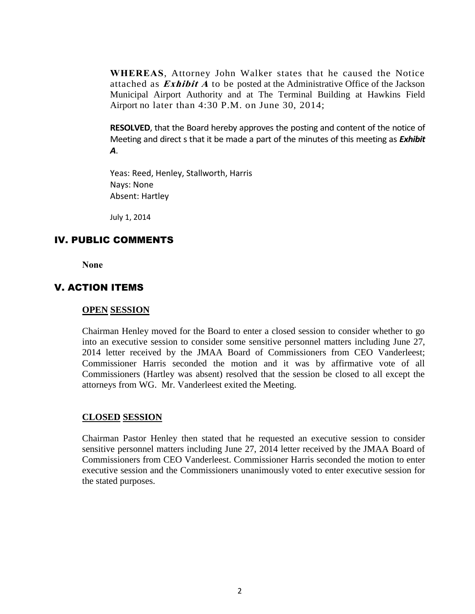**WHEREAS**, Attorney John Walker states that he caused the Notice attached as **Exhibit A** to be posted at the Administrative Office of the Jackson Municipal Airport Authority and at The Terminal Building at Hawkins Field Airport no later than 4:30 P.M. on June 30, 2014;

**RESOLVED**, that the Board hereby approves the posting and content of the notice of Meeting and direct s that it be made a part of the minutes of this meeting as *Exhibit A*.

Yeas: Reed, Henley, Stallworth, Harris Nays: None Absent: Hartley

July 1, 2014

## IV. PUBLIC COMMENTS

**None**

#### V. ACTION ITEMS

#### **OPEN SESSION**

Chairman Henley moved for the Board to enter a closed session to consider whether to go into an executive session to consider some sensitive personnel matters including June 27, 2014 letter received by the JMAA Board of Commissioners from CEO Vanderleest; Commissioner Harris seconded the motion and it was by affirmative vote of all Commissioners (Hartley was absent) resolved that the session be closed to all except the attorneys from WG. Mr. Vanderleest exited the Meeting.

#### **CLOSED SESSION**

Chairman Pastor Henley then stated that he requested an executive session to consider sensitive personnel matters including June 27, 2014 letter received by the JMAA Board of Commissioners from CEO Vanderleest. Commissioner Harris seconded the motion to enter executive session and the Commissioners unanimously voted to enter executive session for the stated purposes.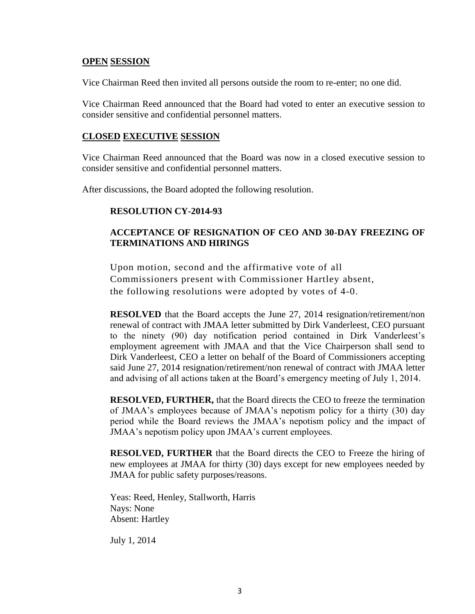#### **OPEN SESSION**

Vice Chairman Reed then invited all persons outside the room to re-enter; no one did.

Vice Chairman Reed announced that the Board had voted to enter an executive session to consider sensitive and confidential personnel matters.

#### **CLOSED EXECUTIVE SESSION**

Vice Chairman Reed announced that the Board was now in a closed executive session to consider sensitive and confidential personnel matters.

After discussions, the Board adopted the following resolution.

### **RESOLUTION CY-2014-93**

## **ACCEPTANCE OF RESIGNATION OF CEO AND 30-DAY FREEZING OF TERMINATIONS AND HIRINGS**

Upon motion, second and the affirmative vote of all Commissioners present with Commissioner Hartley absent, the following resolutions were adopted by votes of 4-0.

**RESOLVED** that the Board accepts the June 27, 2014 resignation/retirement/non renewal of contract with JMAA letter submitted by Dirk Vanderleest, CEO pursuant to the ninety (90) day notification period contained in Dirk Vanderleest's employment agreement with JMAA and that the Vice Chairperson shall send to Dirk Vanderleest, CEO a letter on behalf of the Board of Commissioners accepting said June 27, 2014 resignation/retirement/non renewal of contract with JMAA letter and advising of all actions taken at the Board's emergency meeting of July 1, 2014.

**RESOLVED, FURTHER,** that the Board directs the CEO to freeze the termination of JMAA's employees because of JMAA's nepotism policy for a thirty (30) day period while the Board reviews the JMAA's nepotism policy and the impact of JMAA's nepotism policy upon JMAA's current employees.

**RESOLVED, FURTHER** that the Board directs the CEO to Freeze the hiring of new employees at JMAA for thirty (30) days except for new employees needed by JMAA for public safety purposes/reasons.

Yeas: Reed, Henley, Stallworth, Harris Nays: None Absent: Hartley

July 1, 2014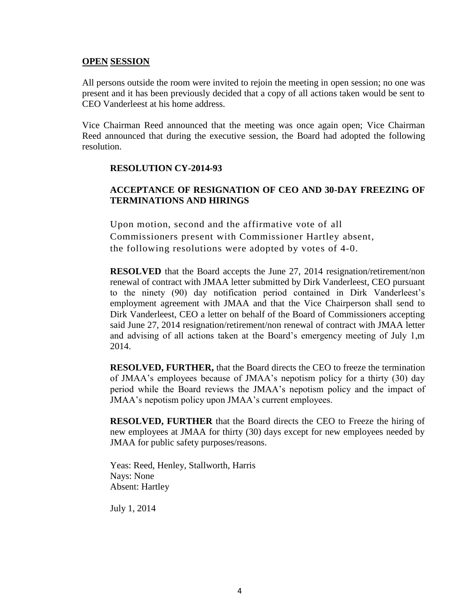#### **OPEN SESSION**

All persons outside the room were invited to rejoin the meeting in open session; no one was present and it has been previously decided that a copy of all actions taken would be sent to CEO Vanderleest at his home address.

Vice Chairman Reed announced that the meeting was once again open; Vice Chairman Reed announced that during the executive session, the Board had adopted the following resolution.

#### **RESOLUTION CY-2014-93**

## **ACCEPTANCE OF RESIGNATION OF CEO AND 30-DAY FREEZING OF TERMINATIONS AND HIRINGS**

Upon motion, second and the affirmative vote of all Commissioners present with Commissioner Hartley absent, the following resolutions were adopted by votes of 4-0.

**RESOLVED** that the Board accepts the June 27, 2014 resignation/retirement/non renewal of contract with JMAA letter submitted by Dirk Vanderleest, CEO pursuant to the ninety (90) day notification period contained in Dirk Vanderleest's employment agreement with JMAA and that the Vice Chairperson shall send to Dirk Vanderleest, CEO a letter on behalf of the Board of Commissioners accepting said June 27, 2014 resignation/retirement/non renewal of contract with JMAA letter and advising of all actions taken at the Board's emergency meeting of July 1,m 2014.

**RESOLVED, FURTHER,** that the Board directs the CEO to freeze the termination of JMAA's employees because of JMAA's nepotism policy for a thirty (30) day period while the Board reviews the JMAA's nepotism policy and the impact of JMAA's nepotism policy upon JMAA's current employees.

**RESOLVED, FURTHER** that the Board directs the CEO to Freeze the hiring of new employees at JMAA for thirty (30) days except for new employees needed by JMAA for public safety purposes/reasons.

Yeas: Reed, Henley, Stallworth, Harris Nays: None Absent: Hartley

July 1, 2014